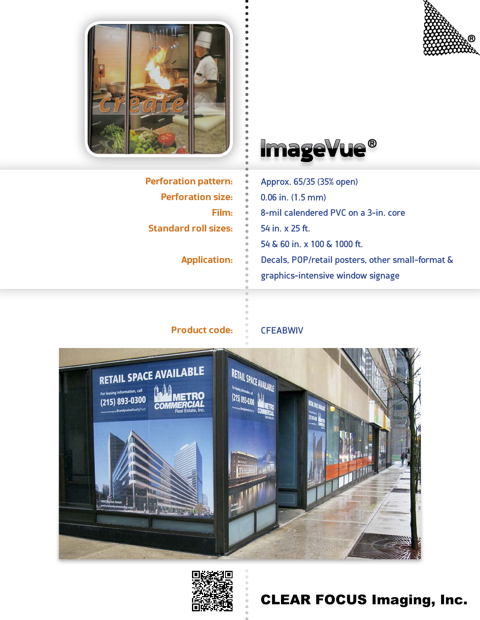



**Perforation pattern: Perforation size: Film: Standard roll sizes:**

**Application:**



Approx. 65/35 (35% open) 0.06 in. (1.5 mm) 8-mil calendered PVC on a 3-in. core 54 in. x 25 ft. 54 & 60 in. x 100 & 1000 ft. Decals, POP/retail posters, other small-format & graphics-intensive window signage

## **Product code: CFEABWIV**





# CLEAR FOCUS Imaging, Inc.